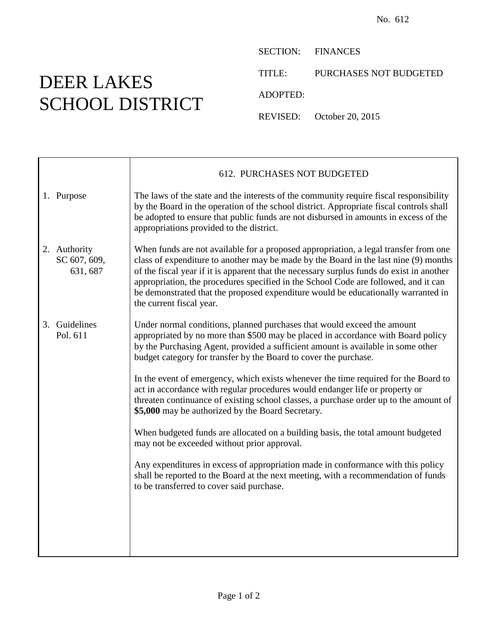## DEER LAKES SCHOOL DISTRICT

SECTION: FINANCES

TITLE: PURCHASES NOT BUDGETED

ADOPTED:

REVISED: October 20, 2015

|                                          | 612. PURCHASES NOT BUDGETED                                                                                                                                                                                                                                                                                                                                                                                                                                                       |
|------------------------------------------|-----------------------------------------------------------------------------------------------------------------------------------------------------------------------------------------------------------------------------------------------------------------------------------------------------------------------------------------------------------------------------------------------------------------------------------------------------------------------------------|
| 1. Purpose                               | The laws of the state and the interests of the community require fiscal responsibility<br>by the Board in the operation of the school district. Appropriate fiscal controls shall<br>be adopted to ensure that public funds are not disbursed in amounts in excess of the<br>appropriations provided to the district.                                                                                                                                                             |
| 2. Authority<br>SC 607, 609,<br>631, 687 | When funds are not available for a proposed appropriation, a legal transfer from one<br>class of expenditure to another may be made by the Board in the last nine (9) months<br>of the fiscal year if it is apparent that the necessary surplus funds do exist in another<br>appropriation, the procedures specified in the School Code are followed, and it can<br>be demonstrated that the proposed expenditure would be educationally warranted in<br>the current fiscal year. |
| 3. Guidelines<br>Pol. 611                | Under normal conditions, planned purchases that would exceed the amount<br>appropriated by no more than \$500 may be placed in accordance with Board policy<br>by the Purchasing Agent, provided a sufficient amount is available in some other<br>budget category for transfer by the Board to cover the purchase.                                                                                                                                                               |
|                                          | In the event of emergency, which exists whenever the time required for the Board to<br>act in accordance with regular procedures would endanger life or property or<br>threaten continuance of existing school classes, a purchase order up to the amount of<br>\$5,000 may be authorized by the Board Secretary.                                                                                                                                                                 |
|                                          | When budgeted funds are allocated on a building basis, the total amount budgeted<br>may not be exceeded without prior approval.                                                                                                                                                                                                                                                                                                                                                   |
|                                          | Any expenditures in excess of appropriation made in conformance with this policy<br>shall be reported to the Board at the next meeting, with a recommendation of funds<br>to be transferred to cover said purchase.                                                                                                                                                                                                                                                               |
|                                          |                                                                                                                                                                                                                                                                                                                                                                                                                                                                                   |
|                                          |                                                                                                                                                                                                                                                                                                                                                                                                                                                                                   |